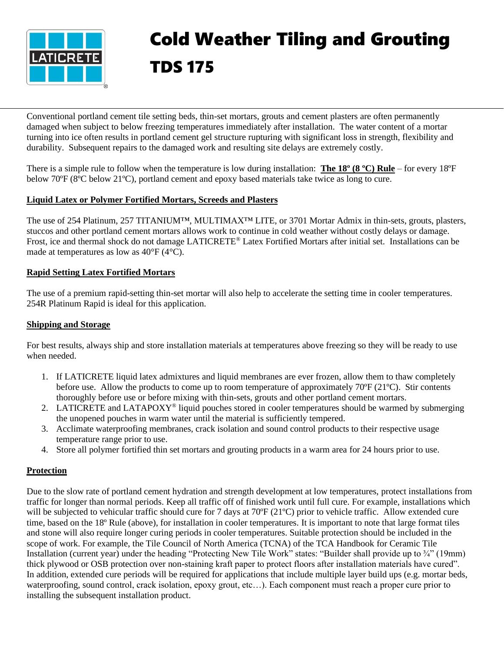

# Cold Weather Tiling and Grouting TDS 175

Conventional portland cement tile setting beds, thin-set mortars, grouts and cement plasters are often permanently damaged when subject to below freezing temperatures immediately after installation. The water content of a mortar turning into ice often results in portland cement gel structure rupturing with significant loss in strength, flexibility and durability. Subsequent repairs to the damaged work and resulting site delays are extremely costly.

There is a simple rule to follow when the temperature is low during installation: **The 18º (8 ºC) Rule** – for every 18ºF below 70ºF (8ºC below 21ºC), portland cement and epoxy based materials take twice as long to cure.

## **Liquid Latex or Polymer Fortified Mortars, Screeds and Plasters**

The use of 254 Platinum, 257 TITANIUM™, MULTIMAX™ LITE, or 3701 Mortar Admix in thin-sets, grouts, plasters, stuccos and other portland cement mortars allows work to continue in cold weather without costly delays or damage. Frost, ice and thermal shock do not damage LATICRETE® Latex Fortified Mortars after initial set. Installations can be made at temperatures as low as 40°F (4°C).

### **Rapid Setting Latex Fortified Mortars**

The use of a premium rapid-setting thin-set mortar will also help to accelerate the setting time in cooler temperatures. 254R Platinum Rapid is ideal for this application.

#### **Shipping and Storage**

For best results, always ship and store installation materials at temperatures above freezing so they will be ready to use when needed.

- 1. If LATICRETE liquid latex admixtures and liquid membranes are ever frozen, allow them to thaw completely before use. Allow the products to come up to room temperature of approximately  $70^{\circ}F(21^{\circ}C)$ . Stir contents thoroughly before use or before mixing with thin-sets, grouts and other portland cement mortars.
- 2. LATICRETE and LATAPOXY® liquid pouches stored in cooler temperatures should be warmed by submerging the unopened pouches in warm water until the material is sufficiently tempered.
- 3. Acclimate waterproofing membranes, crack isolation and sound control products to their respective usage temperature range prior to use.
- 4. Store all polymer fortified thin set mortars and grouting products in a warm area for 24 hours prior to use.

## **Protection**

Due to the slow rate of portland cement hydration and strength development at low temperatures, protect installations from traffic for longer than normal periods. Keep all traffic off of finished work until full cure. For example, installations which will be subjected to vehicular traffic should cure for 7 days at 70°F (21°C) prior to vehicle traffic. Allow extended cure time, based on the 18º Rule (above), for installation in cooler temperatures. It is important to note that large format tiles and stone will also require longer curing periods in cooler temperatures. Suitable protection should be included in the scope of work. For example, the Tile Council of North America (TCNA) of the TCA Handbook for Ceramic Tile Installation (current year) under the heading "Protecting New Tile Work" states: "Builder shall provide up to ¼" (19mm) thick plywood or OSB protection over non-staining kraft paper to protect floors after installation materials have cured". In addition, extended cure periods will be required for applications that include multiple layer build ups (e.g. mortar beds, waterproofing, sound control, crack isolation, epoxy grout, etc…). Each component must reach a proper cure prior to installing the subsequent installation product.